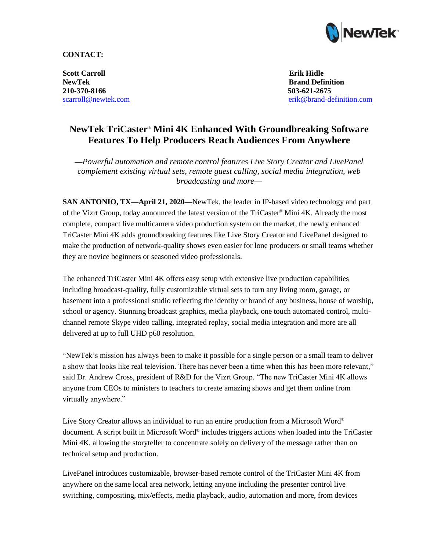

## **CONTACT:**

**Scott Carroll Erik Hidle NewTek Brand Definition 210-370-8166 503-621-2675**

scarroll@newtek.com [erik@brand-definition.com](mailto:erik@brand-definition.com)

# **NewTek TriCaster**® **Mini 4K Enhanced With Groundbreaking Software Features To Help Producers Reach Audiences From Anywhere**

**—***Powerful automation and remote control features Live Story Creator and LivePanel complement existing virtual sets, remote guest calling, social media integration, web broadcasting and more***—**

**SAN ANTONIO, TX––April 21, 2020—**NewTek, the leader in IP-based video technology and part of the Vizrt Group, today announced the latest version of the TriCaster® Mini 4K. Already the most complete, compact live multicamera video production system on the market, the newly enhanced TriCaster Mini 4K adds groundbreaking features like Live Story Creator and LivePanel designed to make the production of network-quality shows even easier for lone producers or small teams whether they are novice beginners or seasoned video professionals.

The enhanced TriCaster Mini 4K offers easy setup with extensive live production capabilities including broadcast-quality, fully customizable virtual sets to turn any living room, garage, or basement into a professional studio reflecting the identity or brand of any business, house of worship, school or agency. Stunning broadcast graphics, media playback, one touch automated control, multichannel remote Skype video calling, integrated replay, social media integration and more are all delivered at up to full UHD p60 resolution.

"NewTek's mission has always been to make it possible for a single person or a small team to deliver a show that looks like real television. There has never been a time when this has been more relevant," said Dr. Andrew Cross, president of R&D for the Vizrt Group. "The new TriCaster Mini 4K allows anyone from CEOs to ministers to teachers to create amazing shows and get them online from virtually anywhere."

Live Story Creator allows an individual to run an entire production from a Microsoft Word® document. A script built in Microsoft Word® includes triggers actions when loaded into the TriCaster Mini 4K, allowing the storyteller to concentrate solely on delivery of the message rather than on technical setup and production.

LivePanel introduces customizable, browser-based remote control of the TriCaster Mini 4K from anywhere on the same local area network, letting anyone including the presenter control live switching, compositing, mix/effects, media playback, audio, automation and more, from devices